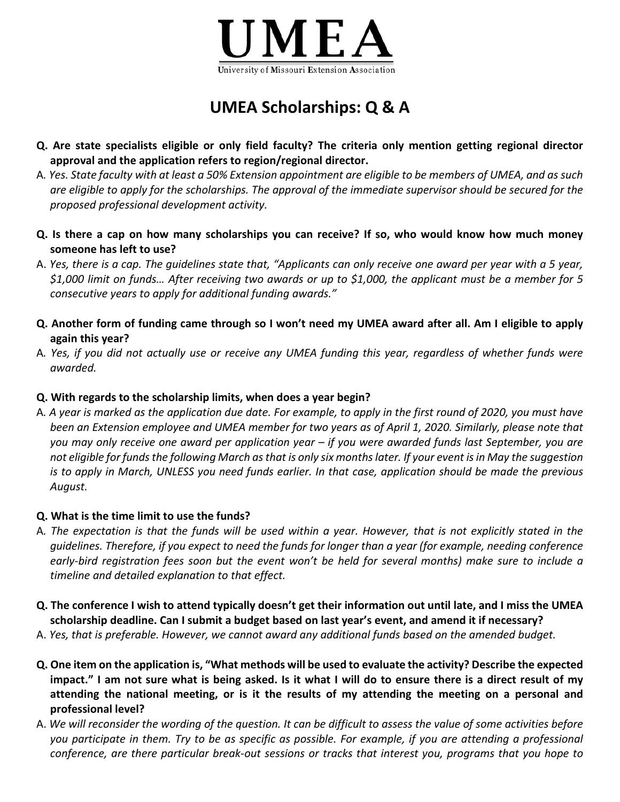

## **UMEA Scholarships: Q & A**

- **Q. Are state specialists eligible or only field faculty? The criteria only mention getting regional director approval and the application refers to region/regional director.**
- A*. Yes. State faculty with at least a 50% Extension appointment are eligible to be members of UMEA, and as such are eligible to apply for the scholarships. The approval of the immediate supervisor should be secured for the proposed professional development activity.*
- **Q. Is there a cap on how many scholarships you can receive? If so, who would know how much money someone has left to use?**
- A. *Yes, there is a cap. The guidelines state that, "Applicants can only receive one award per year with a 5 year, \$1,000 limit on funds… After receiving two awards or up to \$1,000, the applicant must be a member for 5 consecutive years to apply for additional funding awards."*
- **Q. Another form of funding came through so I won't need my UMEA award after all. Am I eligible to apply again this year?**
- A*. Yes, if you did not actually use or receive any UMEA funding this year, regardless of whether funds were awarded.*

## **Q. With regards to the scholarship limits, when does a year begin?**

A*. A year is marked as the application due date. For example, to apply in the first round of 2020, you must have been an Extension employee and UMEA member for two years as of April 1, 2020. Similarly, please note that you may only receive one award per application year – if you were awarded funds last September, you are not eligible for funds the following March as that is only six months later. If your event is in May the suggestion is to apply in March, UNLESS you need funds earlier. In that case, application should be made the previous August.*

## **Q. What is the time limit to use the funds?**

- A*. The expectation is that the funds will be used within a year. However, that is not explicitly stated in the guidelines. Therefore, if you expect to need the funds for longer than a year (for example, needing conference early-bird registration fees soon but the event won't be held for several months) make sure to include a timeline and detailed explanation to that effect.*
- **Q. The conference I wish to attend typically doesn't get their information out until late, and I miss the UMEA scholarship deadline. Can I submit a budget based on last year's event, and amend it if necessary?**
- A. *Yes, that is preferable. However, we cannot award any additional funds based on the amended budget.*
- **Q. One item on the application is, "What methods will be used to evaluate the activity? Describe the expected impact." I am not sure what is being asked. Is it what I will do to ensure there is a direct result of my attending the national meeting, or is it the results of my attending the meeting on a personal and professional level?**
- A. *We will reconsider the wording of the question. It can be difficult to assess the value of some activities before you participate in them. Try to be as specific as possible. For example, if you are attending a professional conference, are there particular break-out sessions or tracks that interest you, programs that you hope to*